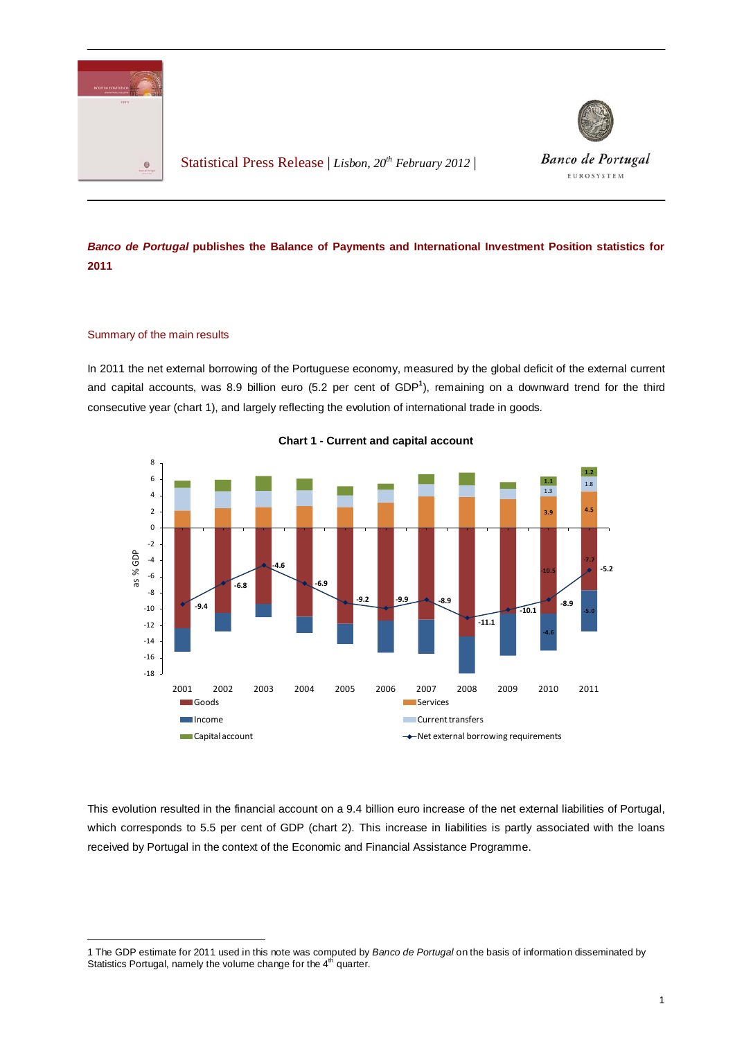

Statistical Press Release | *Lisbon, 20th February 2012* |



**Banco de Portugal** EUROSYSTEM

## *Banco de Portugal* **publishes the Balance of Payments and International Investment Position statistics for 2011**

## Summary of the main results

In 2011 the net external borrowing of the Portuguese economy, measured by the global deficit of the external current and capital accounts, was 8.9 billion euro (5.2 per cent of GDP<sup>[1](#page-0-0)</sup>), remaining on a downward trend for the third consecutive year (chart 1), and largely reflecting the evolution of international trade in goods.



**Chart 1 - Current and capital account**

This evolution resulted in the financial account on a 9.4 billion euro increase of the net external liabilities of Portugal, which corresponds to 5.5 per cent of GDP (chart 2). This increase in liabilities is partly associated with the loans received by Portugal in the context of the Economic and Financial Assistance Programme.

<span id="page-0-0"></span><sup>-</sup>1 The GDP estimate for 2011 used in this note was computed by *Banco de Portugal* on the basis of information disseminated by Statistics Portugal, namely the volume change for the 4<sup>th</sup> quarter.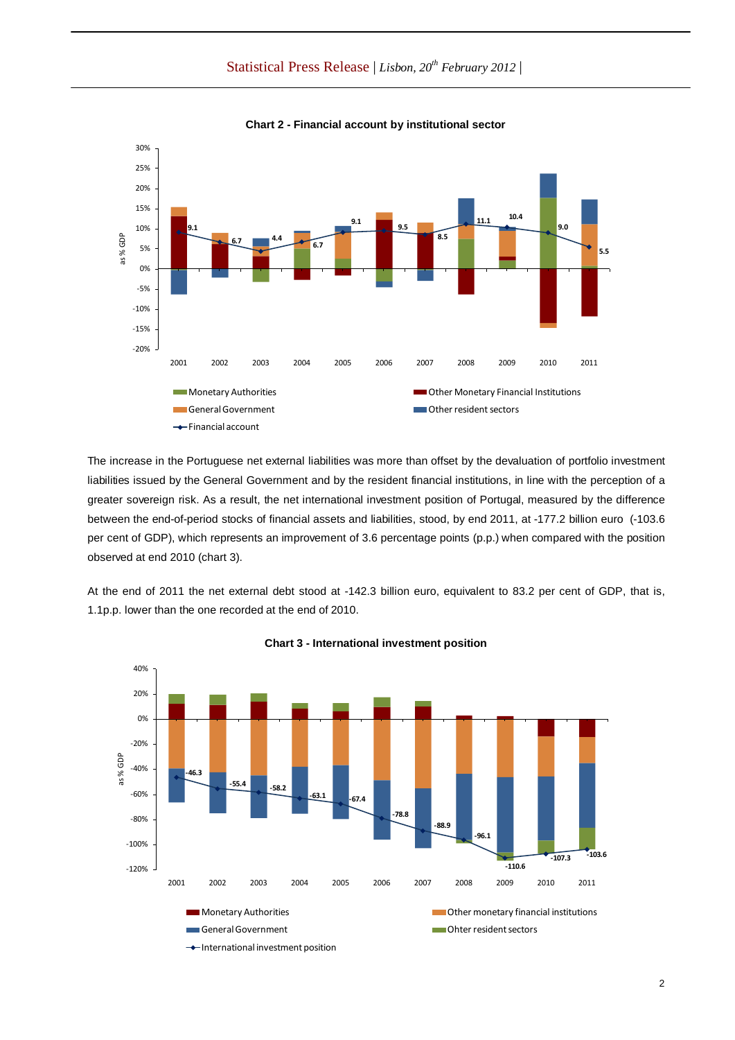Statistical Press Release | *Lisbon, 20th February 2012* |



**Chart 2 - Financial account by institutional sector**

The increase in the Portuguese net external liabilities was more than offset by the devaluation of portfolio investment liabilities issued by the General Government and by the resident financial institutions, in line with the perception of a greater sovereign risk. As a result, the net international investment position of Portugal, measured by the difference between the end-of-period stocks of financial assets and liabilities, stood, by end 2011, at -177.2 billion euro (-103.6 per cent of GDP), which represents an improvement of 3.6 percentage points (p.p.) when compared with the position observed at end 2010 (chart 3).

At the end of 2011 the net external debt stood at -142.3 billion euro, equivalent to 83.2 per cent of GDP, that is, 1.1p.p. lower than the one recorded at the end of 2010.